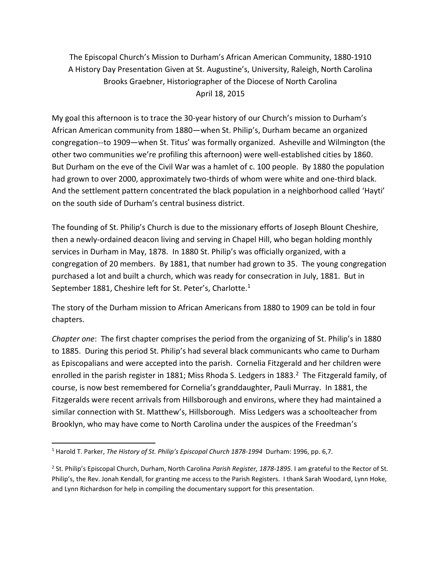The Episcopal Church's Mission to Durham's African American Community, 1880-1910 A History Day Presentation Given at St. Augustine's, University, Raleigh, North Carolina Brooks Graebner, Historiographer of the Diocese of North Carolina April 18, 2015

My goal this afternoon is to trace the 30-year history of our Church's mission to Durham's African American community from 1880—when St. Philip's, Durham became an organized congregation--to 1909—when St. Titus' was formally organized. Asheville and Wilmington (the other two communities we're profiling this afternoon) were well-established cities by 1860. But Durham on the eve of the Civil War was a hamlet of c. 100 people. By 1880 the population had grown to over 2000, approximately two-thirds of whom were white and one-third black. And the settlement pattern concentrated the black population in a neighborhood called 'Hayti' on the south side of Durham's central business district.

The founding of St. Philip's Church is due to the missionary efforts of Joseph Blount Cheshire, then a newly-ordained deacon living and serving in Chapel Hill, who began holding monthly services in Durham in May, 1878. In 1880 St. Philip's was officially organized, with a congregation of 20 members. By 1881, that number had grown to 35. The young congregation purchased a lot and built a church, which was ready for consecration in July, 1881. But in September 1881, Cheshire left for St. Peter's, Charlotte.<sup>1</sup>

The story of the Durham mission to African Americans from 1880 to 1909 can be told in four chapters.

*Chapter one*: The first chapter comprises the period from the organizing of St. Philip's in 1880 to 1885. During this period St. Philip's had several black communicants who came to Durham as Episcopalians and were accepted into the parish. Cornelia Fitzgerald and her children were enrolled in the parish register in 1881; Miss Rhoda S. Ledgers in 1883. $^2$  The Fitzgerald family, of course, is now best remembered for Cornelia's granddaughter, Pauli Murray. In 1881, the Fitzgeralds were recent arrivals from Hillsborough and environs, where they had maintained a similar connection with St. Matthew's, Hillsborough. Miss Ledgers was a schoolteacher from Brooklyn, who may have come to North Carolina under the auspices of the Freedman's

<sup>1</sup> Harold T. Parker, *The History of St. Philip's Episcopal Church 1878-1994* Durham: 1996, pp. 6,7.

<sup>2</sup> St. Philip's Episcopal Church, Durham, North Carolina *Parish Register, 1878-1895.* I am grateful to the Rector of St. Philip's, the Rev. Jonah Kendall, for granting me access to the Parish Registers. I thank Sarah Woodard, Lynn Hoke, and Lynn Richardson for help in compiling the documentary support for this presentation.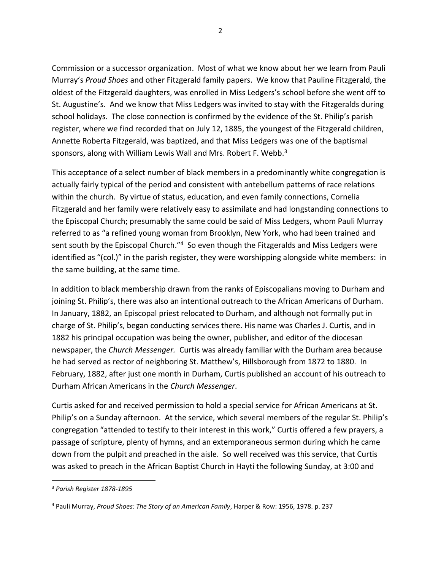Commission or a successor organization. Most of what we know about her we learn from Pauli Murray's *Proud Shoes* and other Fitzgerald family papers. We know that Pauline Fitzgerald, the oldest of the Fitzgerald daughters, was enrolled in Miss Ledgers's school before she went off to St. Augustine's. And we know that Miss Ledgers was invited to stay with the Fitzgeralds during school holidays. The close connection is confirmed by the evidence of the St. Philip's parish register, where we find recorded that on July 12, 1885, the youngest of the Fitzgerald children, Annette Roberta Fitzgerald, was baptized, and that Miss Ledgers was one of the baptismal sponsors, along with William Lewis Wall and Mrs. Robert F. Webb.<sup>3</sup>

This acceptance of a select number of black members in a predominantly white congregation is actually fairly typical of the period and consistent with antebellum patterns of race relations within the church. By virtue of status, education, and even family connections, Cornelia Fitzgerald and her family were relatively easy to assimilate and had longstanding connections to the Episcopal Church; presumably the same could be said of Miss Ledgers, whom Pauli Murray referred to as "a refined young woman from Brooklyn, New York, who had been trained and sent south by the Episcopal Church."<sup>4</sup> So even though the Fitzgeralds and Miss Ledgers were identified as "(col.)" in the parish register, they were worshipping alongside white members: in the same building, at the same time.

In addition to black membership drawn from the ranks of Episcopalians moving to Durham and joining St. Philip's, there was also an intentional outreach to the African Americans of Durham. In January, 1882, an Episcopal priest relocated to Durham, and although not formally put in charge of St. Philip's, began conducting services there. His name was Charles J. Curtis, and in 1882 his principal occupation was being the owner, publisher, and editor of the diocesan newspaper, the *Church Messenger.* Curtis was already familiar with the Durham area because he had served as rector of neighboring St. Matthew's, Hillsborough from 1872 to 1880. In February, 1882, after just one month in Durham, Curtis published an account of his outreach to Durham African Americans in the *Church Messenger*.

Curtis asked for and received permission to hold a special service for African Americans at St. Philip's on a Sunday afternoon. At the service, which several members of the regular St. Philip's congregation "attended to testify to their interest in this work," Curtis offered a few prayers, a passage of scripture, plenty of hymns, and an extemporaneous sermon during which he came down from the pulpit and preached in the aisle. So well received was this service, that Curtis was asked to preach in the African Baptist Church in Hayti the following Sunday, at 3:00 and

<sup>3</sup> *Parish Register 1878-1895*

<sup>4</sup> Pauli Murray, *Proud Shoes: The Story of an American Family*, Harper & Row: 1956, 1978. p. 237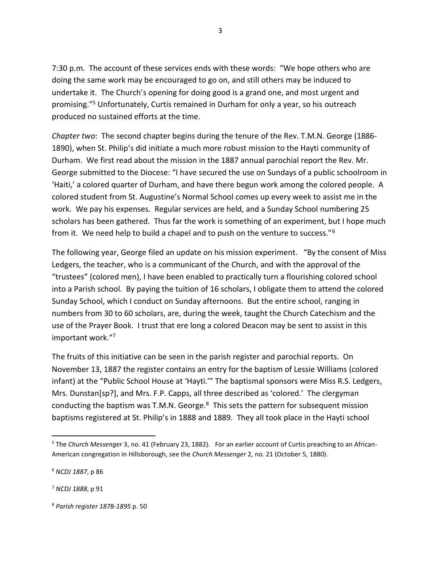7:30 p.m. The account of these services ends with these words: "We hope others who are doing the same work may be encouraged to go on, and still others may be induced to undertake it. The Church's opening for doing good is a grand one, and most urgent and promising."<sup>5</sup> Unfortunately, Curtis remained in Durham for only a year, so his outreach produced no sustained efforts at the time.

*Chapter two*: The second chapter begins during the tenure of the Rev. T.M.N. George (1886- 1890), when St. Philip's did initiate a much more robust mission to the Hayti community of Durham. We first read about the mission in the 1887 annual parochial report the Rev. Mr. George submitted to the Diocese: "I have secured the use on Sundays of a public schoolroom in 'Haiti,' a colored quarter of Durham, and have there begun work among the colored people. A colored student from St. Augustine's Normal School comes up every week to assist me in the work. We pay his expenses. Regular services are held, and a Sunday School numbering 25 scholars has been gathered. Thus far the work is something of an experiment, but I hope much from it. We need help to build a chapel and to push on the venture to success."<sup>6</sup>

The following year, George filed an update on his mission experiment. "By the consent of Miss Ledgers, the teacher, who is a communicant of the Church, and with the approval of the "trustees" (colored men), I have been enabled to practically turn a flourishing colored school into a Parish school. By paying the tuition of 16 scholars, I obligate them to attend the colored Sunday School, which I conduct on Sunday afternoons. But the entire school, ranging in numbers from 30 to 60 scholars, are, during the week, taught the Church Catechism and the use of the Prayer Book. I trust that ere long a colored Deacon may be sent to assist in this important work."<sup>7</sup>

The fruits of this initiative can be seen in the parish register and parochial reports. On November 13, 1887 the register contains an entry for the baptism of Lessie Williams (colored infant) at the "Public School House at 'Hayti.'" The baptismal sponsors were Miss R.S. Ledgers, Mrs. Dunstan[sp?], and Mrs. F.P. Capps, all three described as 'colored.' The clergyman conducting the baptism was T.M.N. George.<sup>8</sup> This sets the pattern for subsequent mission baptisms registered at St. Philip's in 1888 and 1889. They all took place in the Hayti school

<sup>5</sup> The *Church Messenger* 3, no. 41 (February 23, 1882). For an earlier account of Curtis preaching to an African-American congregation in Hillsborough, see the *Church Messenger* 2, no. 21 (October 5, 1880).

<sup>6</sup> *NCDJ 1887*, p 86

<sup>7</sup> *NCDJ 1888*, p 91

<sup>8</sup> *Parish register 1878-1895* p. 50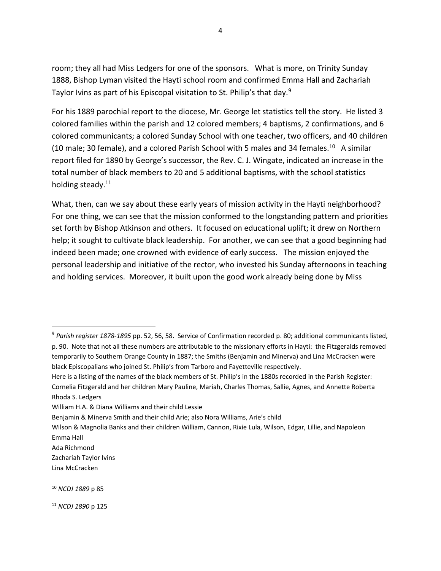room; they all had Miss Ledgers for one of the sponsors. What is more, on Trinity Sunday 1888, Bishop Lyman visited the Hayti school room and confirmed Emma Hall and Zachariah Taylor Ivins as part of his Episcopal visitation to St. Philip's that day.<sup>9</sup>

For his 1889 parochial report to the diocese, Mr. George let statistics tell the story. He listed 3 colored families within the parish and 12 colored members; 4 baptisms, 2 confirmations, and 6 colored communicants; a colored Sunday School with one teacher, two officers, and 40 children (10 male; 30 female), and a colored Parish School with 5 males and 34 females.<sup>10</sup> A similar report filed for 1890 by George's successor, the Rev. C. J. Wingate, indicated an increase in the total number of black members to 20 and 5 additional baptisms, with the school statistics holding steady.<sup>11</sup>

What, then, can we say about these early years of mission activity in the Hayti neighborhood? For one thing, we can see that the mission conformed to the longstanding pattern and priorities set forth by Bishop Atkinson and others. It focused on educational uplift; it drew on Northern help; it sought to cultivate black leadership. For another, we can see that a good beginning had indeed been made; one crowned with evidence of early success. The mission enjoyed the personal leadership and initiative of the rector, who invested his Sunday afternoons in teaching and holding services. Moreover, it built upon the good work already being done by Miss

Ada Richmond

Lina McCracken

<sup>9</sup> *Parish register 1878-1895* pp. 52, 56, 58. Service of Confirmation recorded p. 80; additional communicants listed, p. 90. Note that not all these numbers are attributable to the missionary efforts in Hayti: the Fitzgeralds removed temporarily to Southern Orange County in 1887; the Smiths (Benjamin and Minerva) and Lina McCracken were black Episcopalians who joined St. Philip's from Tarboro and Fayetteville respectively.

Here is a listing of the names of the black members of St. Philip's in the 1880s recorded in the Parish Register: Cornelia Fitzgerald and her children Mary Pauline, Mariah, Charles Thomas, Sallie, Agnes, and Annette Roberta Rhoda S. Ledgers

William H.A. & Diana Williams and their child Lessie

Benjamin & Minerva Smith and their child Arie; also Nora Williams, Arie's child

Wilson & Magnolia Banks and their children William, Cannon, Rixie Lula, Wilson, Edgar, Lillie, and Napoleon Emma Hall

Zachariah Taylor Ivins

<sup>10</sup> *NCDJ 1889* p 85

<sup>11</sup> *NCDJ 1890* p 125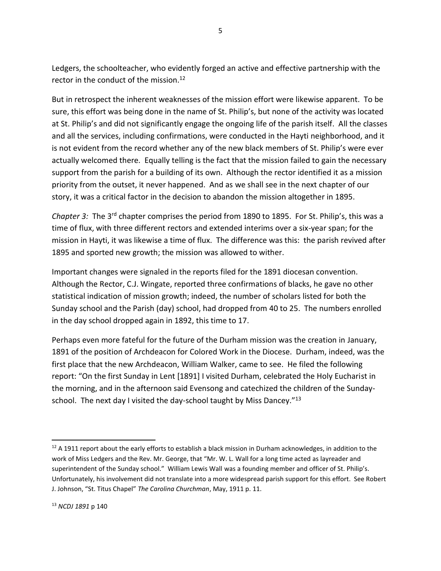Ledgers, the schoolteacher, who evidently forged an active and effective partnership with the rector in the conduct of the mission.<sup>12</sup>

But in retrospect the inherent weaknesses of the mission effort were likewise apparent. To be sure, this effort was being done in the name of St. Philip's, but none of the activity was located at St. Philip's and did not significantly engage the ongoing life of the parish itself. All the classes and all the services, including confirmations, were conducted in the Hayti neighborhood, and it is not evident from the record whether any of the new black members of St. Philip's were ever actually welcomed there. Equally telling is the fact that the mission failed to gain the necessary support from the parish for a building of its own. Although the rector identified it as a mission priority from the outset, it never happened. And as we shall see in the next chapter of our story, it was a critical factor in the decision to abandon the mission altogether in 1895.

*Chapter 3:* The 3rd chapter comprises the period from 1890 to 1895. For St. Philip's, this was a time of flux, with three different rectors and extended interims over a six-year span; for the mission in Hayti, it was likewise a time of flux. The difference was this: the parish revived after 1895 and sported new growth; the mission was allowed to wither.

Important changes were signaled in the reports filed for the 1891 diocesan convention. Although the Rector, C.J. Wingate, reported three confirmations of blacks, he gave no other statistical indication of mission growth; indeed, the number of scholars listed for both the Sunday school and the Parish (day) school, had dropped from 40 to 25. The numbers enrolled in the day school dropped again in 1892, this time to 17.

Perhaps even more fateful for the future of the Durham mission was the creation in January, 1891 of the position of Archdeacon for Colored Work in the Diocese. Durham, indeed, was the first place that the new Archdeacon, William Walker, came to see. He filed the following report: "On the first Sunday in Lent [1891] I visited Durham, celebrated the Holy Eucharist in the morning, and in the afternoon said Evensong and catechized the children of the Sundayschool. The next day I visited the day-school taught by Miss Dancey."13

 $12$  A 1911 report about the early efforts to establish a black mission in Durham acknowledges, in addition to the work of Miss Ledgers and the Rev. Mr. George, that "Mr. W. L. Wall for a long time acted as layreader and superintendent of the Sunday school." William Lewis Wall was a founding member and officer of St. Philip's. Unfortunately, his involvement did not translate into a more widespread parish support for this effort. See Robert J. Johnson, "St. Titus Chapel" *The Carolina Churchman*, May, 1911 p. 11.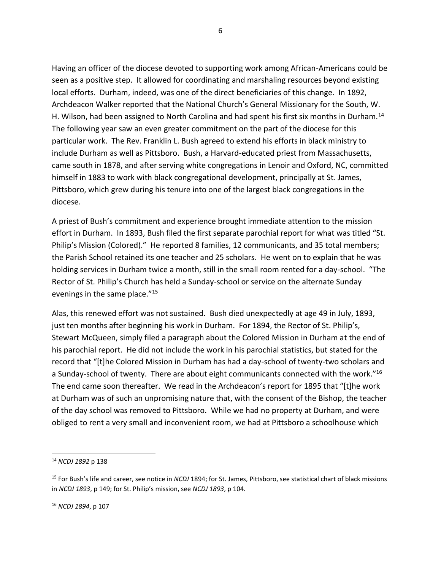Having an officer of the diocese devoted to supporting work among African-Americans could be seen as a positive step. It allowed for coordinating and marshaling resources beyond existing local efforts. Durham, indeed, was one of the direct beneficiaries of this change. In 1892, Archdeacon Walker reported that the National Church's General Missionary for the South, W. H. Wilson, had been assigned to North Carolina and had spent his first six months in Durham.<sup>14</sup> The following year saw an even greater commitment on the part of the diocese for this particular work. The Rev. Franklin L. Bush agreed to extend his efforts in black ministry to include Durham as well as Pittsboro. Bush, a Harvard-educated priest from Massachusetts, came south in 1878, and after serving white congregations in Lenoir and Oxford, NC, committed himself in 1883 to work with black congregational development, principally at St. James, Pittsboro, which grew during his tenure into one of the largest black congregations in the diocese.

A priest of Bush's commitment and experience brought immediate attention to the mission effort in Durham. In 1893, Bush filed the first separate parochial report for what was titled "St. Philip's Mission (Colored)." He reported 8 families, 12 communicants, and 35 total members; the Parish School retained its one teacher and 25 scholars. He went on to explain that he was holding services in Durham twice a month, still in the small room rented for a day-school. "The Rector of St. Philip's Church has held a Sunday-school or service on the alternate Sunday evenings in the same place."<sup>15</sup>

Alas, this renewed effort was not sustained. Bush died unexpectedly at age 49 in July, 1893, just ten months after beginning his work in Durham. For 1894, the Rector of St. Philip's, Stewart McQueen, simply filed a paragraph about the Colored Mission in Durham at the end of his parochial report. He did not include the work in his parochial statistics, but stated for the record that "[t]he Colored Mission in Durham has had a day-school of twenty-two scholars and a Sunday-school of twenty. There are about eight communicants connected with the work."<sup>16</sup> The end came soon thereafter. We read in the Archdeacon's report for 1895 that "[t]he work at Durham was of such an unpromising nature that, with the consent of the Bishop, the teacher of the day school was removed to Pittsboro. While we had no property at Durham, and were obliged to rent a very small and inconvenient room, we had at Pittsboro a schoolhouse which

<sup>14</sup> *NCDJ 1892* p 138

<sup>15</sup> For Bush's life and career, see notice in *NCDJ* 1894; for St. James, Pittsboro, see statistical chart of black missions in *NCDJ 1893*, p 149; for St. Philip's mission, see *NCDJ 1893*, p 104.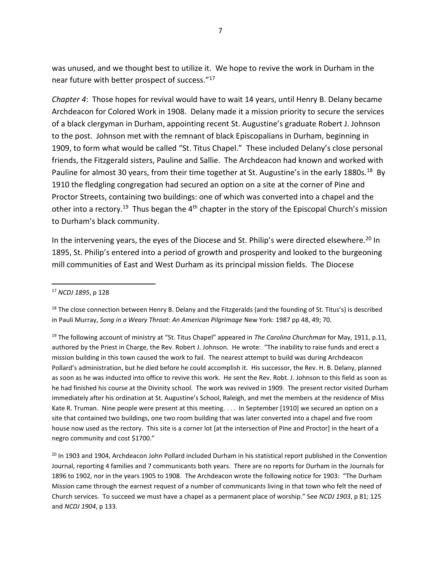was unused, and we thought best to utilize it. We hope to revive the work in Durham in the near future with better prospect of success."<sup>17</sup>

*Chapter 4*: Those hopes for revival would have to wait 14 years, until Henry B. Delany became Archdeacon for Colored Work in 1908. Delany made it a mission priority to secure the services of a black clergyman in Durham, appointing recent St. Augustine's graduate Robert J. Johnson to the post. Johnson met with the remnant of black Episcopalians in Durham, beginning in 1909, to form what would be called "St. Titus Chapel." These included Delany's close personal friends, the Fitzgerald sisters, Pauline and Sallie. The Archdeacon had known and worked with Pauline for almost 30 years, from their time together at St. Augustine's in the early 1880s.<sup>18</sup> By 1910 the fledgling congregation had secured an option on a site at the corner of Pine and Proctor Streets, containing two buildings: one of which was converted into a chapel and the other into a rectory.<sup>19</sup> Thus began the 4<sup>th</sup> chapter in the story of the Episcopal Church's mission to Durham's black community.

In the intervening years, the eyes of the Diocese and St. Philip's were directed elsewhere.<sup>20</sup> In 1895, St. Philip's entered into a period of growth and prosperity and looked to the burgeoning mill communities of East and West Durham as its principal mission fields. The Diocese

<sup>19</sup> The following account of ministry at "St. Titus Chapel" appeared in *The Carolina Churchman* for May, 1911, p.11, authored by the Priest in Charge, the Rev. Robert J. Johnson. He wrote: "The inability to raise funds and erect a mission building in this town caused the work to fail. The nearest attempt to build was during Archdeacon Pollard's administration, but he died before he could accomplish it. His successor, the Rev. H. B. Delany, planned as soon as he was inducted into office to revive this work. He sent the Rev. Robt. J. Johnson to this field as soon as he had finished his course at the Divinity school. The work was revived in 1909. The present rector visited Durham immediately after his ordination at St. Augustine's School, Raleigh, and met the members at the residence of Miss Kate R. Truman. Nine people were present at this meeting. . . . In September [1910] we secured an option on a site that contained two buildings, one two room building that was later converted into a chapel and five room house now used as the rectory. This site is a corner lot [at the intersection of Pine and Proctor] in the heart of a negro community and cost \$1700."

<sup>20</sup> In 1903 and 1904, Archdeacon John Pollard included Durham in his statistical report published in the Convention Journal, reporting 4 families and 7 communicants both years. There are no reports for Durham in the Journals for 1896 to 1902, nor in the years 1905 to 1908. The Archdeacon wrote the following notice for 1903: "The Durham Mission came through the earnest request of a number of communicants living in that town who felt the need of Church services. To succeed we must have a chapel as a permanent place of worship." See *NCDJ 1903*, p 81; 125 and *NCDJ 1904*, p 133.

<sup>17</sup> *NCDJ 1895*, p 128

 $18$  The close connection between Henry B. Delany and the Fitzgeralds (and the founding of St. Titus's) is described in Pauli Murray, *Song in a Weary Throat: An American Pilgrimage* New York: 1987 pp 48, 49; 70.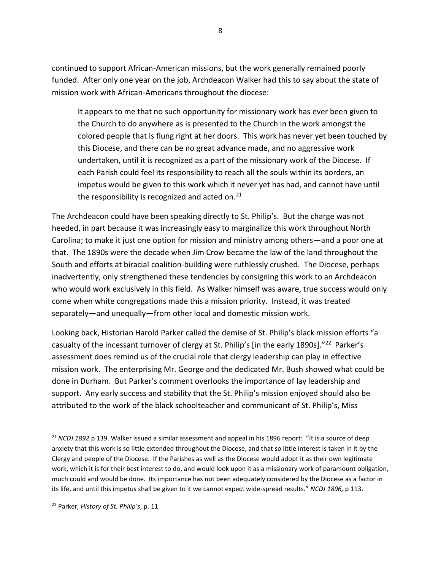continued to support African-American missions, but the work generally remained poorly funded. After only one year on the job, Archdeacon Walker had this to say about the state of mission work with African-Americans throughout the diocese:

It appears to me that no such opportunity for missionary work has ever been given to the Church to do anywhere as is presented to the Church in the work amongst the colored people that is flung right at her doors. This work has never yet been touched by this Diocese, and there can be no great advance made, and no aggressive work undertaken, until it is recognized as a part of the missionary work of the Diocese. If each Parish could feel its responsibility to reach all the souls within its borders, an impetus would be given to this work which it never yet has had, and cannot have until the responsibility is recognized and acted on. $^{21}$ 

The Archdeacon could have been speaking directly to St. Philip's. But the charge was not heeded, in part because it was increasingly easy to marginalize this work throughout North Carolina; to make it just one option for mission and ministry among others—and a poor one at that. The 1890s were the decade when Jim Crow became the law of the land throughout the South and efforts at biracial coalition-building were ruthlessly crushed. The Diocese, perhaps inadvertently, only strengthened these tendencies by consigning this work to an Archdeacon who would work exclusively in this field. As Walker himself was aware, true success would only come when white congregations made this a mission priority. Instead, it was treated separately—and unequally—from other local and domestic mission work.

Looking back, Historian Harold Parker called the demise of St. Philip's black mission efforts "a casualty of the incessant turnover of clergy at St. Philip's [in the early 1890s]."<sup>22</sup> Parker's assessment does remind us of the crucial role that clergy leadership can play in effective mission work. The enterprising Mr. George and the dedicated Mr. Bush showed what could be done in Durham. But Parker's comment overlooks the importance of lay leadership and support. Any early success and stability that the St. Philip's mission enjoyed should also be attributed to the work of the black schoolteacher and communicant of St. Philip's, Miss

<sup>&</sup>lt;sup>21</sup> *NCDJ 1892* p 139. Walker issued a similar assessment and appeal in his 1896 report: "It is a source of deep anxiety that this work is so little extended throughout the Diocese, and that so little interest is taken in it by the Clergy and people of the Diocese. If the Parishes as well as the Diocese would adopt it as their own legitimate work, which it is for their best interest to do, and would look upon it as a missionary work of paramount obligation, much could and would be done. Its importance has not been adequately considered by the Diocese as a factor in its life, and until this impetus shall be given to it we cannot expect wide-spread results." *NCDJ 1896,* p 113.

<sup>22</sup> Parker, *History of St. Philip's*, p. 11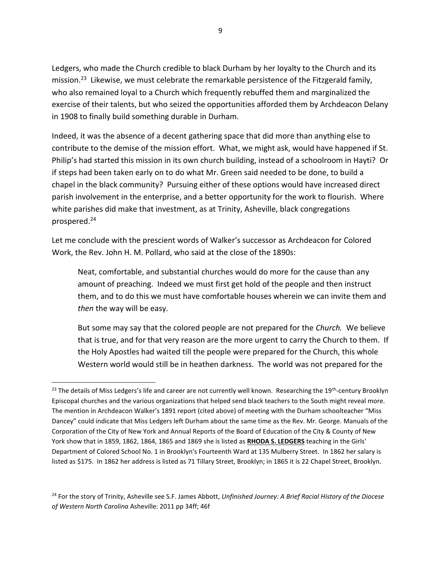Ledgers, who made the Church credible to black Durham by her loyalty to the Church and its mission.<sup>23</sup> Likewise, we must celebrate the remarkable persistence of the Fitzgerald family, who also remained loyal to a Church which frequently rebuffed them and marginalized the exercise of their talents, but who seized the opportunities afforded them by Archdeacon Delany in 1908 to finally build something durable in Durham.

Indeed, it was the absence of a decent gathering space that did more than anything else to contribute to the demise of the mission effort. What, we might ask, would have happened if St. Philip's had started this mission in its own church building, instead of a schoolroom in Hayti? Or if steps had been taken early on to do what Mr. Green said needed to be done, to build a chapel in the black community? Pursuing either of these options would have increased direct parish involvement in the enterprise, and a better opportunity for the work to flourish. Where white parishes did make that investment, as at Trinity, Asheville, black congregations prospered.<sup>24</sup>

Let me conclude with the prescient words of Walker's successor as Archdeacon for Colored Work, the Rev. John H. M. Pollard, who said at the close of the 1890s:

Neat, comfortable, and substantial churches would do more for the cause than any amount of preaching. Indeed we must first get hold of the people and then instruct them, and to do this we must have comfortable houses wherein we can invite them and *then* the way will be easy.

But some may say that the colored people are not prepared for the *Church.* We believe that is true, and for that very reason are the more urgent to carry the Church to them. If the Holy Apostles had waited till the people were prepared for the Church, this whole Western world would still be in heathen darkness. The world was not prepared for the

<sup>&</sup>lt;sup>23</sup> The details of Miss Ledgers's life and career are not currently well known. Researching the 19<sup>th</sup>-century Brooklyn Episcopal churches and the various organizations that helped send black teachers to the South might reveal more. The mention in Archdeacon Walker's 1891 report (cited above) of meeting with the Durham schoolteacher "Miss Dancey" could indicate that Miss Ledgers left Durham about the same time as the Rev. Mr. George. Manuals of the Corporation of the City of New York and Annual Reports of the Board of Education of the City & County of New York show that in 1859, 1862, 1864, 1865 and 1869 she is listed as **RHODA S. LEDGERS** teaching in the Girls' Department of Colored School No. 1 in Brooklyn's Fourteenth Ward at 135 Mulberry Street. In 1862 her salary is listed as \$175. In 1862 her address is listed as 71 Tillary Street, Brooklyn; in 1865 it is 22 Chapel Street, Brooklyn.